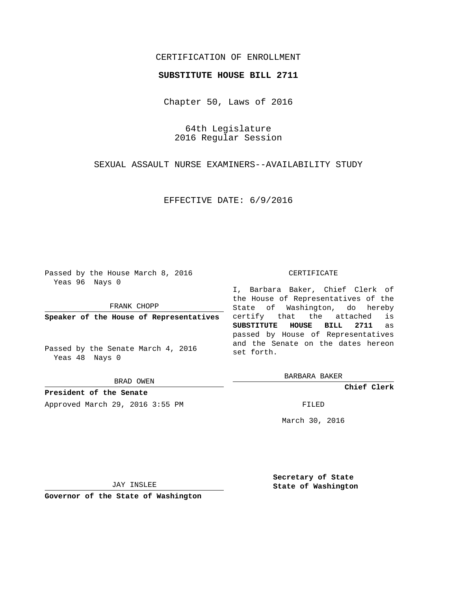## CERTIFICATION OF ENROLLMENT

## **SUBSTITUTE HOUSE BILL 2711**

Chapter 50, Laws of 2016

64th Legislature 2016 Regular Session

SEXUAL ASSAULT NURSE EXAMINERS--AVAILABILITY STUDY

EFFECTIVE DATE: 6/9/2016

Passed by the House March 8, 2016 Yeas 96 Nays 0

FRANK CHOPP

**Speaker of the House of Representatives**

Passed by the Senate March 4, 2016 Yeas 48 Nays 0

BRAD OWEN

**President of the Senate** Approved March 29, 2016 3:55 PM FILED

#### CERTIFICATE

I, Barbara Baker, Chief Clerk of the House of Representatives of the State of Washington, do hereby certify that the attached is **SUBSTITUTE HOUSE BILL 2711** as passed by House of Representatives and the Senate on the dates hereon set forth.

BARBARA BAKER

**Chief Clerk**

March 30, 2016

JAY INSLEE

**Governor of the State of Washington**

**Secretary of State State of Washington**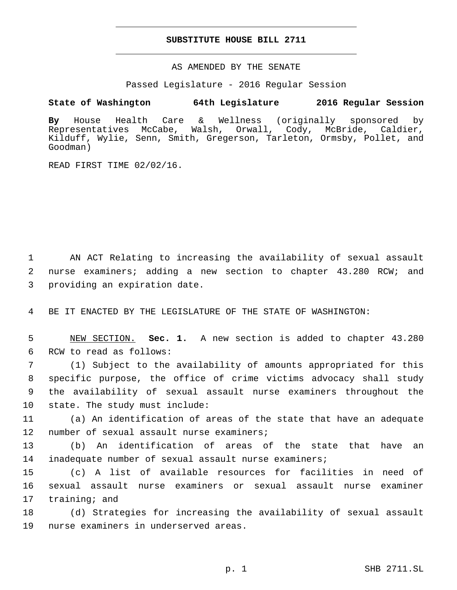## **SUBSTITUTE HOUSE BILL 2711**

AS AMENDED BY THE SENATE

Passed Legislature - 2016 Regular Session

# **State of Washington 64th Legislature 2016 Regular Session**

**By** House Health Care & Wellness (originally sponsored by Representatives McCabe, Walsh, Orwall, Cody, McBride, Caldier, Kilduff, Wylie, Senn, Smith, Gregerson, Tarleton, Ormsby, Pollet, and Goodman)

READ FIRST TIME 02/02/16.

1 AN ACT Relating to increasing the availability of sexual assault 2 nurse examiners; adding a new section to chapter 43.280 RCW; and 3 providing an expiration date.

4 BE IT ENACTED BY THE LEGISLATURE OF THE STATE OF WASHINGTON:

5 NEW SECTION. **Sec. 1.** A new section is added to chapter 43.280 6 RCW to read as follows:

 (1) Subject to the availability of amounts appropriated for this specific purpose, the office of crime victims advocacy shall study the availability of sexual assault nurse examiners throughout the 10 state. The study must include:

11 (a) An identification of areas of the state that have an adequate 12 number of sexual assault nurse examiners;

13 (b) An identification of areas of the state that have an 14 inadequate number of sexual assault nurse examiners;

15 (c) A list of available resources for facilities in need of 16 sexual assault nurse examiners or sexual assault nurse examiner 17 training; and

18 (d) Strategies for increasing the availability of sexual assault 19 nurse examiners in underserved areas.